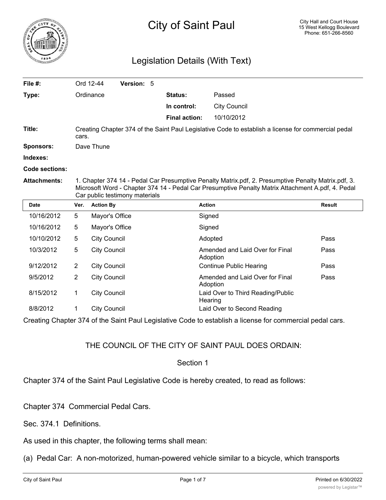

## Legislation Details (With Text)

| File $#$ :            |                                                                                                                                                                                                                                            | Ord 12-44<br>Version: 5 |                      |                                              |               |
|-----------------------|--------------------------------------------------------------------------------------------------------------------------------------------------------------------------------------------------------------------------------------------|-------------------------|----------------------|----------------------------------------------|---------------|
| Type:                 |                                                                                                                                                                                                                                            | Ordinance               | <b>Status:</b>       | Passed                                       |               |
|                       |                                                                                                                                                                                                                                            |                         | In control:          | <b>City Council</b>                          |               |
|                       |                                                                                                                                                                                                                                            |                         | <b>Final action:</b> | 10/10/2012                                   |               |
| Title:                | Creating Chapter 374 of the Saint Paul Legislative Code to establish a license for commercial pedal<br>cars.                                                                                                                               |                         |                      |                                              |               |
| <b>Sponsors:</b>      |                                                                                                                                                                                                                                            | Dave Thune              |                      |                                              |               |
| Indexes:              |                                                                                                                                                                                                                                            |                         |                      |                                              |               |
| <b>Code sections:</b> |                                                                                                                                                                                                                                            |                         |                      |                                              |               |
| <b>Attachments:</b>   | 1. Chapter 374 14 - Pedal Car Presumptive Penalty Matrix.pdf, 2. Presumptive Penalty Matrix.pdf, 3.<br>Microsoft Word - Chapter 374 14 - Pedal Car Presumptive Penalty Matrix Attachment A.pdf, 4. Pedal<br>Car public testimony materials |                         |                      |                                              |               |
| <b>Date</b>           | Ver.                                                                                                                                                                                                                                       | <b>Action By</b>        |                      | <b>Action</b>                                | <b>Result</b> |
| 10/16/2012            | 5                                                                                                                                                                                                                                          | Mayor's Office          |                      | Signed                                       |               |
| 10/16/2012            | 5                                                                                                                                                                                                                                          | Mayor's Office          |                      | Signed                                       |               |
| 10/10/2012            | 5                                                                                                                                                                                                                                          | <b>City Council</b>     |                      | Adopted                                      | Pass          |
| 10/3/2012             | 5                                                                                                                                                                                                                                          | <b>City Council</b>     |                      | Amended and Laid Over for Final<br>Adoption  | Pass          |
| 9/12/2012             | $\overline{2}$                                                                                                                                                                                                                             | <b>City Council</b>     |                      | <b>Continue Public Hearing</b>               | Pass          |
| 9/5/2012              | 2                                                                                                                                                                                                                                          | <b>City Council</b>     |                      | Amended and Laid Over for Final<br>Adoption  | Pass          |
| 8/15/2012             | 1                                                                                                                                                                                                                                          | <b>City Council</b>     |                      | Laid Over to Third Reading/Public<br>Hearing |               |
| 8/8/2012              | 1                                                                                                                                                                                                                                          | <b>City Council</b>     |                      | Laid Over to Second Reading                  |               |

Creating Chapter 374 of the Saint Paul Legislative Code to establish a license for commercial pedal cars.

## THE COUNCIL OF THE CITY OF SAINT PAUL DOES ORDAIN:

## Section 1

Chapter 374 of the Saint Paul Legislative Code is hereby created, to read as follows:

Chapter 374 Commercial Pedal Cars.

Sec. 374.1 Definitions.

As used in this chapter, the following terms shall mean:

(a) Pedal Car: A non-motorized, human-powered vehicle similar to a bicycle, which transports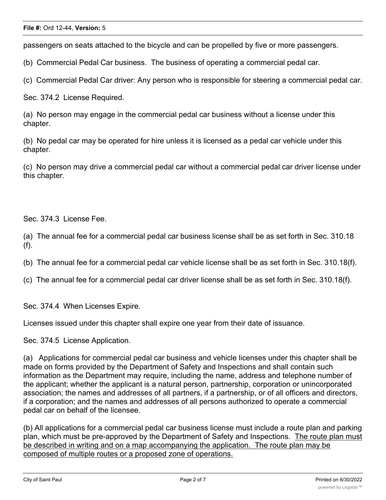passengers on seats attached to the bicycle and can be propelled by five or more passengers.

(b) Commercial Pedal Car business. The business of operating a commercial pedal car.

(c) Commercial Pedal Car driver: Any person who is responsible for steering a commercial pedal car.

Sec. 374.2 License Required.

(a) No person may engage in the commercial pedal car business without a license under this chapter.

(b) No pedal car may be operated for hire unless it is licensed as a pedal car vehicle under this chapter.

(c) No person may drive a commercial pedal car without a commercial pedal car driver license under this chapter.

Sec. 374.3 License Fee.

(a) The annual fee for a commercial pedal car business license shall be as set forth in Sec. 310.18 (f).

(b) The annual fee for a commercial pedal car vehicle license shall be as set forth in Sec. 310.18(f).

(c) The annual fee for a commercial pedal car driver license shall be as set forth in Sec. 310.18(f).

Sec. 374.4 When Licenses Expire.

Licenses issued under this chapter shall expire one year from their date of issuance.

Sec. 374.5 License Application.

(a) Applications for commercial pedal car business and vehicle licenses under this chapter shall be made on forms provided by the Department of Safety and Inspections and shall contain such information as the Department may require, including the name, address and telephone number of the applicant; whether the applicant is a natural person, partnership, corporation or unincorporated association; the names and addresses of all partners, if a partnership, or of all officers and directors, if a corporation; and the names and addresses of all persons authorized to operate a commercial pedal car on behalf of the licensee.

(b) All applications for a commercial pedal car business license must include a route plan and parking plan, which must be pre-approved by the Department of Safety and Inspections. The route plan must be described in writing and on a map accompanying the application. The route plan may be composed of multiple routes or a proposed zone of operations.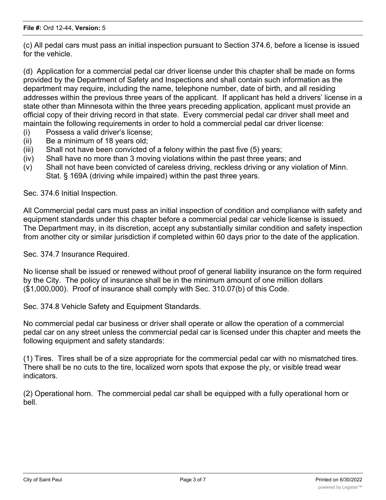(c) All pedal cars must pass an initial inspection pursuant to Section 374.6, before a license is issued for the vehicle.

(d) Application for a commercial pedal car driver license under this chapter shall be made on forms provided by the Department of Safety and Inspections and shall contain such information as the department may require, including the name, telephone number, date of birth, and all residing addresses within the previous three years of the applicant. If applicant has held a drivers' license in a state other than Minnesota within the three years preceding application, applicant must provide an official copy of their driving record in that state. Every commercial pedal car driver shall meet and maintain the following requirements in order to hold a commercial pedal car driver license:

- (i) Possess a valid driver's license;
- (ii) Be a minimum of 18 years old;
- (iii) Shall not have been convicted of a felony within the past five (5) years;
- (iv) Shall have no more than 3 moving violations within the past three years; and
- (v) Shall not have been convicted of careless driving, reckless driving or any violation of Minn. Stat. § 169A (driving while impaired) within the past three years.

Sec. 374.6 Initial Inspection.

All Commercial pedal cars must pass an initial inspection of condition and compliance with safety and equipment standards under this chapter before a commercial pedal car vehicle license is issued. The Department may, in its discretion, accept any substantially similar condition and safety inspection from another city or similar jurisdiction if completed within 60 days prior to the date of the application.

Sec. 374.7 Insurance Required.

No license shall be issued or renewed without proof of general liability insurance on the form required by the City. The policy of insurance shall be in the minimum amount of one million dollars (\$1,000,000). Proof of insurance shall comply with Sec. 310.07(b) of this Code.

Sec. 374.8 Vehicle Safety and Equipment Standards.

No commercial pedal car business or driver shall operate or allow the operation of a commercial pedal car on any street unless the commercial pedal car is licensed under this chapter and meets the following equipment and safety standards:

(1) Tires. Tires shall be of a size appropriate for the commercial pedal car with no mismatched tires. There shall be no cuts to the tire, localized worn spots that expose the ply, or visible tread wear indicators.

(2) Operational horn. The commercial pedal car shall be equipped with a fully operational horn or bell.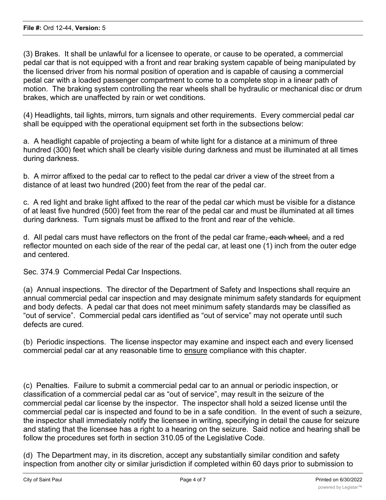(3) Brakes. It shall be unlawful for a licensee to operate, or cause to be operated, a commercial pedal car that is not equipped with a front and rear braking system capable of being manipulated by the licensed driver from his normal position of operation and is capable of causing a commercial pedal car with a loaded passenger compartment to come to a complete stop in a linear path of motion. The braking system controlling the rear wheels shall be hydraulic or mechanical disc or drum brakes, which are unaffected by rain or wet conditions.

(4) Headlights, tail lights, mirrors, turn signals and other requirements. Every commercial pedal car shall be equipped with the operational equipment set forth in the subsections below:

a. A headlight capable of projecting a beam of white light for a distance at a minimum of three hundred (300) feet which shall be clearly visible during darkness and must be illuminated at all times during darkness.

b. A mirror affixed to the pedal car to reflect to the pedal car driver a view of the street from a distance of at least two hundred (200) feet from the rear of the pedal car.

c. A red light and brake light affixed to the rear of the pedal car which must be visible for a distance of at least five hundred (500) feet from the rear of the pedal car and must be illuminated at all times during darkness. Turn signals must be affixed to the front and rear of the vehicle.

d. All pedal cars must have reflectors on the front of the pedal car frame<del>, each wheel,</del> and a red reflector mounted on each side of the rear of the pedal car, at least one (1) inch from the outer edge and centered.

Sec. 374.9 Commercial Pedal Car Inspections.

(a) Annual inspections. The director of the Department of Safety and Inspections shall require an annual commercial pedal car inspection and may designate minimum safety standards for equipment and body defects. A pedal car that does not meet minimum safety standards may be classified as "out of service". Commercial pedal cars identified as "out of service" may not operate until such defects are cured.

(b) Periodic inspections. The license inspector may examine and inspect each and every licensed commercial pedal car at any reasonable time to ensure compliance with this chapter.

(c) Penalties. Failure to submit a commercial pedal car to an annual or periodic inspection, or classification of a commercial pedal car as "out of service", may result in the seizure of the commercial pedal car license by the inspector. The inspector shall hold a seized license until the commercial pedal car is inspected and found to be in a safe condition. In the event of such a seizure, the inspector shall immediately notify the licensee in writing, specifying in detail the cause for seizure and stating that the licensee has a right to a hearing on the seizure. Said notice and hearing shall be follow the procedures set forth in section 310.05 of the Legislative Code.

(d) The Department may, in its discretion, accept any substantially similar condition and safety inspection from another city or similar jurisdiction if completed within 60 days prior to submission to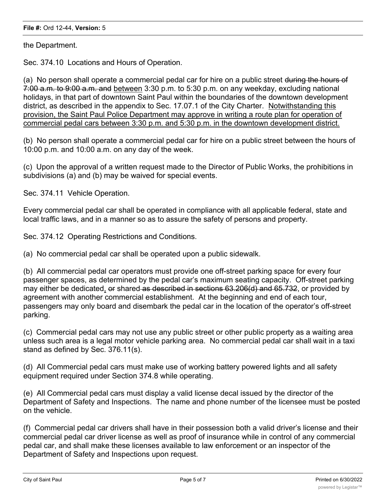the Department.

Sec. 374.10 Locations and Hours of Operation.

(a) No person shall operate a commercial pedal car for hire on a public street during the hours of 7:00 a.m. to 9:00 a.m. and between 3:30 p.m. to 5:30 p.m. on any weekday, excluding national holidays, in that part of downtown Saint Paul within the boundaries of the downtown development district, as described in the appendix to Sec. 17.07.1 of the City Charter. Notwithstanding this provision, the Saint Paul Police Department may approve in writing a route plan for operation of commercial pedal cars between 3:30 p.m. and 5:30 p.m. in the downtown development district.

(b) No person shall operate a commercial pedal car for hire on a public street between the hours of 10:00 p.m. and 10:00 a.m. on any day of the week.

(c) Upon the approval of a written request made to the Director of Public Works, the prohibitions in subdivisions (a) and (b) may be waived for special events.

Sec. 374.11 Vehicle Operation.

Every commercial pedal car shall be operated in compliance with all applicable federal, state and local traffic laws, and in a manner so as to assure the safety of persons and property.

Sec. 374.12 Operating Restrictions and Conditions.

(a) No commercial pedal car shall be operated upon a public sidewalk.

(b) All commercial pedal car operators must provide one off-street parking space for every four passenger spaces, as determined by the pedal car's maximum seating capacity. Off-street parking may either be dedicated, or shared as described in sections 63.206(d) and 65.732, or provided by agreement with another commercial establishment. At the beginning and end of each tour, passengers may only board and disembark the pedal car in the location of the operator's off-street parking.

(c) Commercial pedal cars may not use any public street or other public property as a waiting area unless such area is a legal motor vehicle parking area. No commercial pedal car shall wait in a taxi stand as defined by Sec. 376.11(s).

(d) All Commercial pedal cars must make use of working battery powered lights and all safety equipment required under Section 374.8 while operating.

(e) All Commercial pedal cars must display a valid license decal issued by the director of the Department of Safety and Inspections. The name and phone number of the licensee must be posted on the vehicle.

(f) Commercial pedal car drivers shall have in their possession both a valid driver's license and their commercial pedal car driver license as well as proof of insurance while in control of any commercial pedal car, and shall make these licenses available to law enforcement or an inspector of the Department of Safety and Inspections upon request.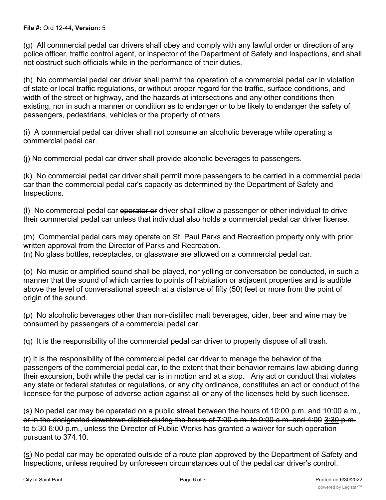(g) All commercial pedal car drivers shall obey and comply with any lawful order or direction of any police officer, traffic control agent, or inspector of the Department of Safety and Inspections, and shall not obstruct such officials while in the performance of their duties.

(h) No commercial pedal car driver shall permit the operation of a commercial pedal car in violation of state or local traffic regulations, or without proper regard for the traffic, surface conditions, and width of the street or highway, and the hazards at intersections and any other conditions then existing, nor in such a manner or condition as to endanger or to be likely to endanger the safety of passengers, pedestrians, vehicles or the property of others.

(i) A commercial pedal car driver shall not consume an alcoholic beverage while operating a commercial pedal car.

(j) No commercial pedal car driver shall provide alcoholic beverages to passengers.

(k) No commercial pedal car driver shall permit more passengers to be carried in a commercial pedal car than the commercial pedal car's capacity as determined by the Department of Safety and Inspections.

(l) No commercial pedal car operator or driver shall allow a passenger or other individual to drive their commercial pedal car unless that individual also holds a commercial pedal car driver license.

(m) Commercial pedal cars may operate on St. Paul Parks and Recreation property only with prior written approval from the Director of Parks and Recreation. (n) No glass bottles, receptacles, or glassware are allowed on a commercial pedal car.

(o) No music or amplified sound shall be played, nor yelling or conversation be conducted, in such a manner that the sound of which carries to points of habitation or adjacent properties and is audible above the level of conversational speech at a distance of fifty (50) feet or more from the point of origin of the sound.

(p) No alcoholic beverages other than non-distilled malt beverages, cider, beer and wine may be consumed by passengers of a commercial pedal car.

(q) It is the responsibility of the commercial pedal car driver to properly dispose of all trash.

(r) It is the responsibility of the commercial pedal car driver to manage the behavior of the passengers of the commercial pedal car, to the extent that their behavior remains law-abiding during their excursion, both while the pedal car is in motion and at a stop. Any act or conduct that violates any state or federal statutes or regulations, or any city ordinance, constitutes an act or conduct of the licensee for the purpose of adverse action against all or any of the licenses held by such licensee.

(s) No pedal car may be operated on a public street between the hours of 10:00 p.m. and 10:00 a.m., or in the designated downtown district during the hours of 7:00 a.m. to 9:00 a.m. and 4:00 3:30 p.m. to 5:30 6:00 p.m., unless the Director of Public Works has granted a waiver for such operation pursuant to 374.10.

(s) No pedal car may be operated outside of a route plan approved by the Department of Safety and Inspections, unless required by unforeseen circumstances out of the pedal car driver's control.